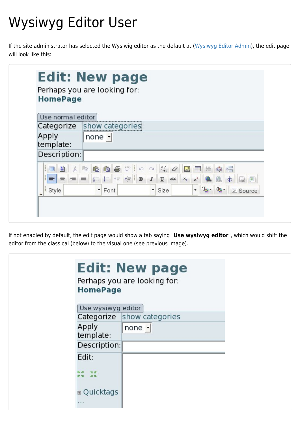# Wysiwyg Editor User

If the site administrator has selected the Wysiwig editor as the default at ([Wysiwyg Editor Admin\)](https://doc.tiki.org/Wysiwyg-Editor-Admin), the edit page will look like this:

| <b>HomePage</b>    | Perhaps you are looking for:                                                                                                                                                                                                          |
|--------------------|---------------------------------------------------------------------------------------------------------------------------------------------------------------------------------------------------------------------------------------|
| Use normal editor  |                                                                                                                                                                                                                                       |
|                    | Categorize show categories                                                                                                                                                                                                            |
| Apply<br>template: | none $\vert$                                                                                                                                                                                                                          |
| Description:       |                                                                                                                                                                                                                                       |
| Ē.<br>图<br>I<br>E  | $\lambda$ to a to a to $\lambda$ to $\lambda$ a $\lambda$<br>A OFOR<br>88<br>$\triangleq$<br>$x^2$<br>$\underline{\mathtt{U}}$<br>x <sub>2</sub><br>国<br>ABC<br>$T_{\rm SI}$ - $Q_{\rm SI}$ -<br><b>E</b> Source<br>Font<br>۰<br>Size |

If not enabled by default, the edit page would show a tab saying "**Use wysiwyg editor**", which would shift the editor from the classical (below) to the visual one (see previous image).

|                        | <b>Edit: New page</b><br>Perhaps you are looking for:<br><b>HomePage</b> |
|------------------------|--------------------------------------------------------------------------|
|                        | Use wysiwyg editor                                                       |
|                        | Categorize show categories                                               |
| Apply<br>template:     | none $\vert$                                                             |
|                        | Description:                                                             |
| Edit:                  |                                                                          |
|                        |                                                                          |
| <b>E</b> Quicktags<br> |                                                                          |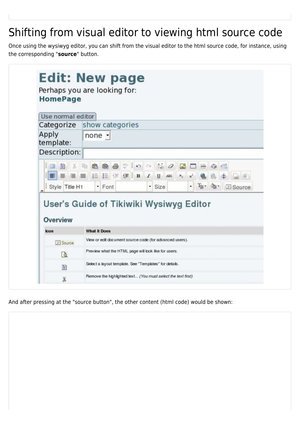## Shifting from visual editor to viewing html source code

Once using the wysiwyg editor, you can shift from the visual editor to the html source code, for instance, using the corresponding "**source**" button.

| Use normal editor  | Categorize show categories                              |
|--------------------|---------------------------------------------------------|
| Apply<br>template: | none $\vert$                                            |
| Description:       |                                                         |
| Style Title H1     | Ty - 4 ESource<br>$\bullet$<br>- Font<br>Size           |
| <b>Overview</b>    | User's Guide of Tikiwiki Wysiwyg Editor                 |
| <b>Icon</b>        | <b>What it Does</b>                                     |
| F Source           | View or edit document source code (for advanced users). |
| Q                  | Preview what the HTML page will look like for users.    |
| 雪                  | Select a layout template. See "Templates" for details.  |

And after pressing at the "source button", the other content (html code) would be shown: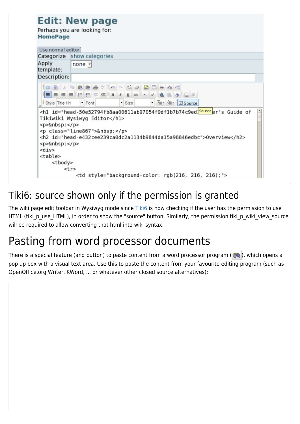| Categorize show categories<br>$none -$<br>Description:<br><b>IDD &amp; RGG 5 7 0 0 % 0 BD = 0 5</b><br>$\bigoplus$<br>$ T_2 - 0$ $ \boxed{2}$ Source<br>Style Title H1<br>- Font<br>· Size<br><h1 id="head-50e52794fb8aa00611ab97054f9df1b7b74c9ed&lt;mark&gt;Source&lt;/mark&gt;er's Guide of&lt;br&gt;Tikiwiki Wysiwyg Editor&lt;/hl&gt;&lt;br&gt;&lt;p&gt; &lt;/p&gt;&lt;br&gt;&lt;p class=" line867"=""> <br/><h2 id="head-e432cee239ca0dc2a1134b9844da15a98846edbc">Overview</h2><br/><p>6nbsp;<p><br/><math>&lt;</math>div<math>&gt;</math><br/><table><br/><tbody></tbody></table></p></p></h1> | Use normal editor  |                                                         |  |
|--------------------------------------------------------------------------------------------------------------------------------------------------------------------------------------------------------------------------------------------------------------------------------------------------------------------------------------------------------------------------------------------------------------------------------------------------------------------------------------------------------------------------------------------------------------------------------------------------------|--------------------|---------------------------------------------------------|--|
|                                                                                                                                                                                                                                                                                                                                                                                                                                                                                                                                                                                                        |                    |                                                         |  |
|                                                                                                                                                                                                                                                                                                                                                                                                                                                                                                                                                                                                        | Apply<br>template: |                                                         |  |
|                                                                                                                                                                                                                                                                                                                                                                                                                                                                                                                                                                                                        |                    |                                                         |  |
|                                                                                                                                                                                                                                                                                                                                                                                                                                                                                                                                                                                                        |                    |                                                         |  |
|                                                                                                                                                                                                                                                                                                                                                                                                                                                                                                                                                                                                        |                    |                                                         |  |
|                                                                                                                                                                                                                                                                                                                                                                                                                                                                                                                                                                                                        |                    |                                                         |  |
| $<$ tr>                                                                                                                                                                                                                                                                                                                                                                                                                                                                                                                                                                                                |                    |                                                         |  |
|                                                                                                                                                                                                                                                                                                                                                                                                                                                                                                                                                                                                        |                    | <td style="background-color: rgb(216, 216, 216);"></td> |  |

#### Tiki6: source shown only if the permission is granted

The wiki page edit toolbar in Wysiwyg mode since [Tiki6](https://doc.tiki.org/Tiki6) is now checking if the user has the permission to use HTML (tiki\_p\_use\_HTML), in order to show the "source" button. Similarly, the permission tiki\_p\_wiki\_view\_source will be required to allow converting that html into wiki syntax.

#### Pasting from word processor documents

There is a special feature (and button) to paste content from a word processor program ( $\frac{m}{2}$ ), which opens a pop up box with a visual text area. Use this to paste the content from your favourite editing program (such as OpenOffice.org Writer, KWord, ... or whatever other closed source alternatives):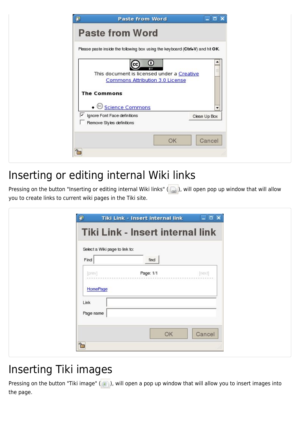| <b>Paste from Word</b><br>Please paste inside the following box using the keyboard (Ctrl+V) and hit OK.                                                                     |              |  |
|-----------------------------------------------------------------------------------------------------------------------------------------------------------------------------|--------------|--|
| О<br>CC.<br>$\overline{\mathbf{B}^{\vee}}$<br>This document is licensed under a Creative<br>Commons Attribution 3.0 License<br><b>The Commons</b><br><b>Science Commons</b> |              |  |
| ⊽<br>Ignore Font Face definitions<br>Remove Styles definitions                                                                                                              | Clean Up Box |  |
|                                                                                                                                                                             |              |  |

#### Inserting or editing internal Wiki links

Pressing on the button "Inserting or editing internal Wiki links" ( ), will open pop up window that will allow you to create links to current wiki pages in the Tiki site.

| Select a Wiki page to link to:<br>Find | find      |        |  |
|----------------------------------------|-----------|--------|--|
| [prev]<br>HomePage                     | Page: 1/1 | [next] |  |
| Link<br>Page name                      |           |        |  |

### Inserting Tiki images

Pressing on the button "Tiki image" ( $\Box$ ), will open a pop up window that will allow you to insert images into the page.